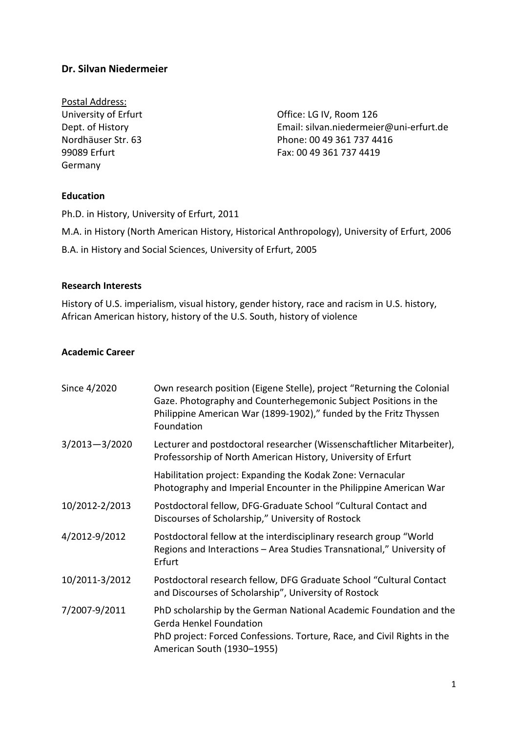# **Dr. Silvan Niedermeier**

Postal Address: Germany

University of Erfurt **Called Access** Contract Contract Contract Contract Contract Contract Contract Contract Contract Contract Contract Contract Contract Contract Contract Contract Contract Contract Contract Contract Contr Dept. of History Email: silvan.niedermeier@uni-erfurt.de Nordhäuser Str. 63 Phone: 00 49 361 737 4416 99089 Erfurt Fax: 00 49 361 737 4419

## **Education**

Ph.D. in History, University of Erfurt, 2011

M.A. in History (North American History, Historical Anthropology), University of Erfurt, 2006 B.A. in History and Social Sciences, University of Erfurt, 2005

#### **Research Interests**

History of U.S. imperialism, visual history, gender history, race and racism in U.S. history, African American history, history of the U.S. South, history of violence

#### **Academic Career**

| Since 4/2020      | Own research position (Eigene Stelle), project "Returning the Colonial<br>Gaze. Photography and Counterhegemonic Subject Positions in the<br>Philippine American War (1899-1902)," funded by the Fritz Thyssen<br>Foundation |
|-------------------|------------------------------------------------------------------------------------------------------------------------------------------------------------------------------------------------------------------------------|
| $3/2013 - 3/2020$ | Lecturer and postdoctoral researcher (Wissenschaftlicher Mitarbeiter),<br>Professorship of North American History, University of Erfurt                                                                                      |
|                   | Habilitation project: Expanding the Kodak Zone: Vernacular<br>Photography and Imperial Encounter in the Philippine American War                                                                                              |
| 10/2012-2/2013    | Postdoctoral fellow, DFG-Graduate School "Cultural Contact and<br>Discourses of Scholarship," University of Rostock                                                                                                          |
| 4/2012-9/2012     | Postdoctoral fellow at the interdisciplinary research group "World<br>Regions and Interactions – Area Studies Transnational," University of<br>Erfurt                                                                        |
| 10/2011-3/2012    | Postdoctoral research fellow, DFG Graduate School "Cultural Contact<br>and Discourses of Scholarship", University of Rostock                                                                                                 |
| 7/2007-9/2011     | PhD scholarship by the German National Academic Foundation and the<br><b>Gerda Henkel Foundation</b><br>PhD project: Forced Confessions. Torture, Race, and Civil Rights in the<br>American South (1930-1955)                |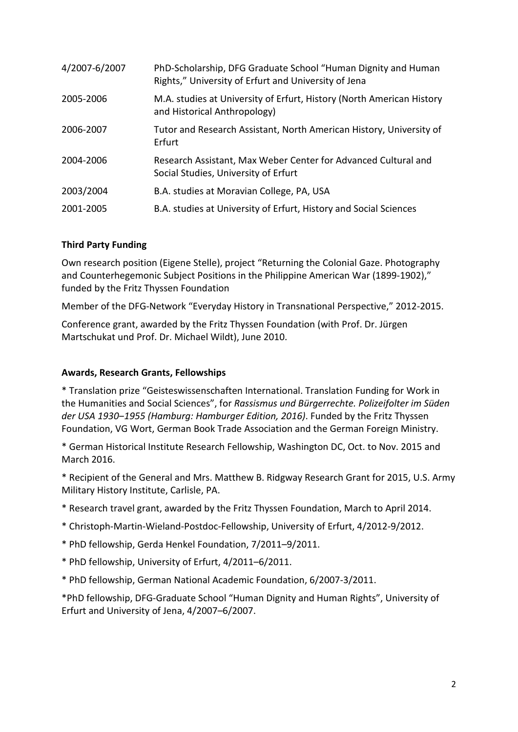| 4/2007-6/2007 | PhD-Scholarship, DFG Graduate School "Human Dignity and Human<br>Rights," University of Erfurt and University of Jena |
|---------------|-----------------------------------------------------------------------------------------------------------------------|
| 2005-2006     | M.A. studies at University of Erfurt, History (North American History<br>and Historical Anthropology)                 |
| 2006-2007     | Tutor and Research Assistant, North American History, University of<br>Erfurt                                         |
| 2004-2006     | Research Assistant, Max Weber Center for Advanced Cultural and<br>Social Studies, University of Erfurt                |
| 2003/2004     | B.A. studies at Moravian College, PA, USA                                                                             |
| 2001-2005     | B.A. studies at University of Erfurt, History and Social Sciences                                                     |

## **Third Party Funding**

Own research position (Eigene Stelle), project "Returning the Colonial Gaze. Photography and Counterhegemonic Subject Positions in the Philippine American War (1899-1902)," funded by the Fritz Thyssen Foundation

Member of the DFG-Network "Everyday History in Transnational Perspective," 2012-2015.

Conference grant, awarded by the Fritz Thyssen Foundation (with Prof. Dr. Jürgen Martschukat und Prof. Dr. Michael Wildt), June 2010.

## **Awards, Research Grants, Fellowships**

\* Translation prize "Geisteswissenschaften International. Translation Funding for Work in the Humanities and Social Sciences", for *Rassismus und Bürgerrechte. Polizeifolter im Süden der USA 1930‒1955 (Hamburg: Hamburger Edition, 2016)*. Funded by the Fritz Thyssen Foundation, VG Wort, German Book Trade Association and the German Foreign Ministry.

\* German Historical Institute Research Fellowship, Washington DC, Oct. to Nov. 2015 and March 2016.

\* Recipient of the General and Mrs. Matthew B. Ridgway Research Grant for 2015, U.S. Army Military History Institute, Carlisle, PA.

- \* Research travel grant, awarded by the Fritz Thyssen Foundation, March to April 2014.
- \* Christoph-Martin-Wieland-Postdoc-Fellowship, University of Erfurt, 4/2012-9/2012.
- \* PhD fellowship, Gerda Henkel Foundation, 7/2011–9/2011.
- \* PhD fellowship, University of Erfurt, 4/2011–6/2011.
- \* PhD fellowship, German National Academic Foundation, 6/2007-3/2011.

\*PhD fellowship, DFG-Graduate School "Human Dignity and Human Rights", University of Erfurt and University of Jena, 4/2007–6/2007.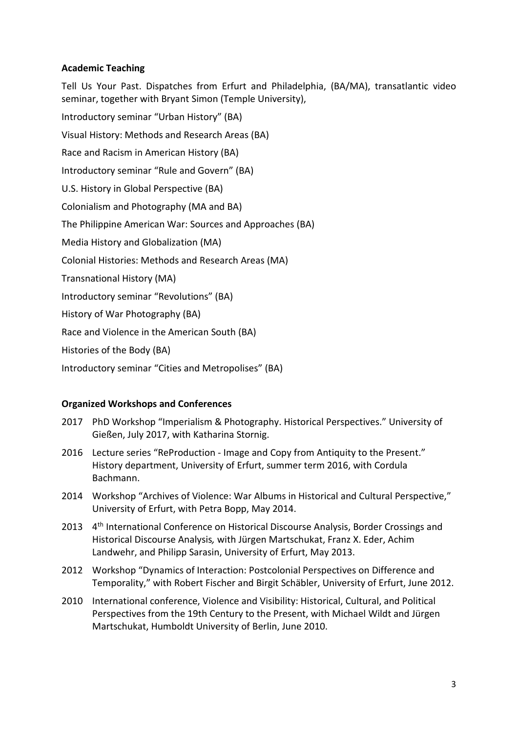## **Academic Teaching**

Tell Us Your Past. Dispatches from Erfurt and Philadelphia, (BA/MA), transatlantic video seminar, together with Bryant Simon (Temple University),

Introductory seminar "Urban History" (BA) Visual History: Methods and Research Areas (BA)

Race and Racism in American History (BA)

Introductory seminar "Rule and Govern" (BA)

U.S. History in Global Perspective (BA)

Colonialism and Photography (MA and BA)

The Philippine American War: Sources and Approaches (BA)

Media History and Globalization (MA)

Colonial Histories: Methods and Research Areas (MA)

Transnational History (MA)

Introductory seminar "Revolutions" (BA)

History of War Photography (BA)

Race and Violence in the American South (BA)

Histories of the Body (BA)

Introductory seminar "Cities and Metropolises" (BA)

## **Organized Workshops and Conferences**

- 2017 PhD Workshop "Imperialism & Photography. Historical Perspectives." University of Gießen, July 2017, with Katharina Stornig.
- 2016 Lecture series "ReProduction Image and Copy from Antiquity to the Present." History department, University of Erfurt, summer term 2016, with Cordula Bachmann.
- 2014 Workshop "Archives of Violence: War Albums in Historical and Cultural Perspective," University of Erfurt, with Petra Bopp, May 2014.
- 2013 4<sup>th</sup> International Conference on Historical Discourse Analysis, Border Crossings and Historical Discourse Analysis*,* with Jürgen Martschukat, Franz X. Eder, Achim Landwehr, and Philipp Sarasin, University of Erfurt, May 2013.
- 2012 Workshop "Dynamics of Interaction: Postcolonial Perspectives on Difference and Temporality," with Robert Fischer and Birgit Schäbler, University of Erfurt, June 2012.
- 2010 International conference, Violence and Visibility: Historical, Cultural, and Political Perspectives from the 19th Century to the Present, with Michael Wildt and Jürgen Martschukat, Humboldt University of Berlin, June 2010.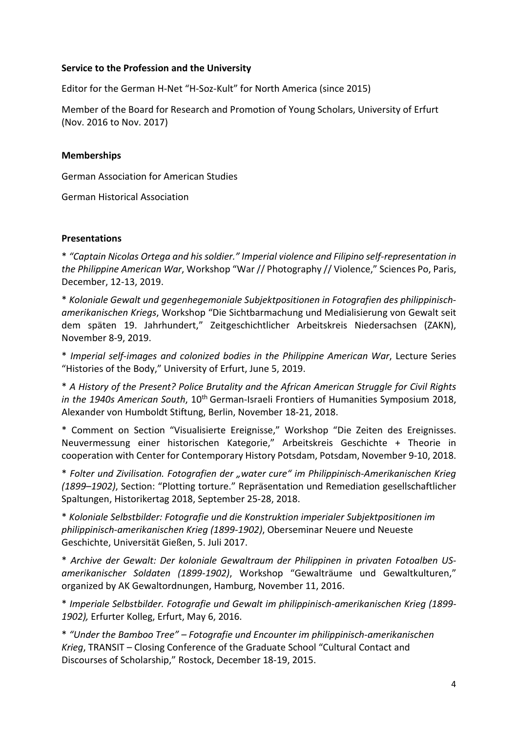#### **Service to the Profession and the University**

Editor for the German H-Net "H-Soz-Kult" for North America (since 2015)

Member of the Board for Research and Promotion of Young Scholars, University of Erfurt (Nov. 2016 to Nov. 2017)

## **Memberships**

German Association for American Studies

German Historical Association

## **Presentations**

\* *"Captain Nicolas Ortega and his soldier." Imperial violence and Filipino self-representation in the Philippine American War*, Workshop "War // Photography // Violence," Sciences Po, Paris, December, 12-13, 2019.

\* *Koloniale Gewalt und gegenhegemoniale Subjektpositionen in Fotografien des philippinischamerikanischen Kriegs*, Workshop "Die Sichtbarmachung und Medialisierung von Gewalt seit dem späten 19. Jahrhundert," Zeitgeschichtlicher Arbeitskreis Niedersachsen (ZAKN), November 8-9, 2019.

\* *Imperial self-images and colonized bodies in the Philippine American War*, Lecture Series "Histories of the Body," University of Erfurt, June 5, 2019.

\* *A History of the Present? Police Brutality and the African American Struggle for Civil Rights in the 1940s American South, 10<sup>th</sup> German-Israeli Frontiers of Humanities Symposium 2018,* Alexander von Humboldt Stiftung, Berlin, November 18-21, 2018.

\* Comment on Section "Visualisierte Ereignisse," Workshop "Die Zeiten des Ereignisses. Neuvermessung einer historischen Kategorie," Arbeitskreis Geschichte + Theorie in cooperation with Center for Contemporary History Potsdam, Potsdam, November 9-10, 2018.

\* *Folter und Zivilisation. Fotografien der "water cure" im Philippinisch-Amerikanischen Krieg (1899–1902)*, Section: "Plotting torture." Repräsentation und Remediation gesellschaftlicher Spaltungen, Historikertag 2018, September 25-28, 2018.

\* *Koloniale Selbstbilder: Fotografie und die Konstruktion imperialer Subjektpositionen im philippinisch-amerikanischen Krieg (1899-1902)*, Oberseminar Neuere und Neueste Geschichte, Universität Gießen, 5. Juli 2017.

\* *Archive der Gewalt: Der koloniale Gewaltraum der Philippinen in privaten Fotoalben USamerikanischer Soldaten (1899-1902)*, Workshop "Gewalträume und Gewaltkulturen," organized by AK Gewaltordnungen, Hamburg, November 11, 2016.

\* *Imperiale Selbstbilder. Fotografie und Gewalt im philippinisch-amerikanischen Krieg (1899- 1902),* Erfurter Kolleg, Erfurt, May 6, 2016.

\* *"Under the Bamboo Tree" – Fotografie und Encounter im philippinisch-amerikanischen Krieg*, TRANSIT – Closing Conference of the Graduate School "Cultural Contact and Discourses of Scholarship," Rostock, December 18-19, 2015.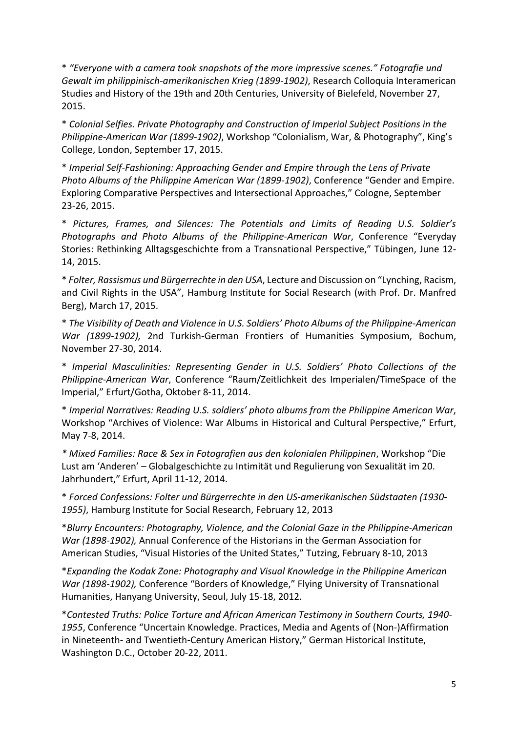\* *"Everyone with a camera took snapshots of the more impressive scenes." Fotografie und Gewalt im philippinisch-amerikanischen Krieg (1899-1902)*, Research Colloquia Interamerican Studies and History of the 19th and 20th Centuries, University of Bielefeld, November 27, 2015.

\* *Colonial Selfies. Private Photography and Construction of Imperial Subject Positions in the Philippine-American War (1899-1902)*, Workshop "Colonialism, War, & Photography", King's College, London, September 17, 2015.

\* *Imperial Self-Fashioning: Approaching Gender and Empire through the Lens of Private Photo Albums of the Philippine American War (1899-1902)*, Conference "Gender and Empire. Exploring Comparative Perspectives and Intersectional Approaches," Cologne, September 23-26, 2015.

\* *Pictures, Frames, and Silences: The Potentials and Limits of Reading U.S. Soldier's Photographs and Photo Albums of the Philippine-American War*, Conference "Everyday Stories: Rethinking Alltagsgeschichte from a Transnational Perspective," Tübingen, June 12- 14, 2015.

\* *Folter, Rassismus und Bürgerrechte in den USA*, Lecture and Discussion on "Lynching, Racism, and Civil Rights in the USA", Hamburg Institute for Social Research (with Prof. Dr. Manfred Berg), March 17, 2015.

\* *The Visibility of Death and Violence in U.S. Soldiers' Photo Albums of the Philippine-American War (1899-1902),* 2nd Turkish-German Frontiers of Humanities Symposium, Bochum, November 27-30, 2014.

\* *Imperial Masculinities: Representing Gender in U.S. Soldiers' Photo Collections of the Philippine-American War*, Conference "Raum/Zeitlichkeit des Imperialen/TimeSpace of the Imperial," Erfurt/Gotha, Oktober 8-11, 2014.

\* *Imperial Narratives: Reading U.S. soldiers' photo albums from the Philippine American War*, Workshop "Archives of Violence: War Albums in Historical and Cultural Perspective," Erfurt, May 7-8, 2014.

*\* Mixed Families: Race & Sex in Fotografien aus den kolonialen Philippinen*, Workshop "Die Lust am 'Anderen' – Globalgeschichte zu Intimität und Regulierung von Sexualität im 20. Jahrhundert," Erfurt, April 11-12, 2014.

\* *Forced Confessions: Folter und Bürgerrechte in den US-amerikanischen Südstaaten (1930- 1955)*, Hamburg Institute for Social Research, February 12, 2013

\**Blurry Encounters: Photography, Violence, and the Colonial Gaze in the Philippine-American War (1898-1902),* Annual Conference of the Historians in the German Association for American Studies, "Visual Histories of the United States," Tutzing, February 8-10, 2013

\**Expanding the Kodak Zone: Photography and Visual Knowledge in the Philippine American War (1898-1902),* Conference "Borders of Knowledge," Flying University of Transnational Humanities, Hanyang University, Seoul, July 15-18, 2012.

\**Contested Truths: Police Torture and African American Testimony in Southern Courts, 1940- 1955*, Conference "Uncertain Knowledge. Practices, Media and Agents of (Non-)Affirmation in Nineteenth- and Twentieth-Century American History," German Historical Institute, Washington D.C., October 20-22, 2011.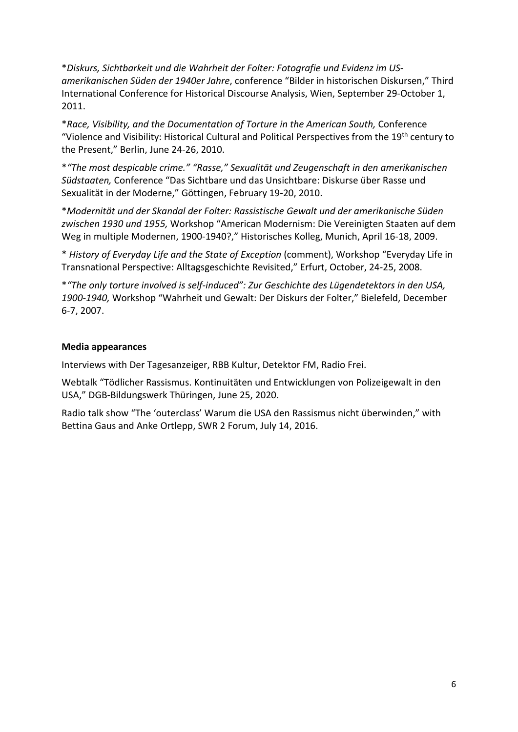\**Diskurs, Sichtbarkeit und die Wahrheit der Folter: Fotografie und Evidenz im USamerikanischen Süden der 1940er Jahre*, conference "Bilder in historischen Diskursen," Third International Conference for Historical Discourse Analysis, Wien, September 29-October 1, 2011.

\**Race, Visibility, and the Documentation of Torture in the American South,* Conference "Violence and Visibility: Historical Cultural and Political Perspectives from the 19<sup>th</sup> century to the Present," Berlin, June 24-26, 2010.

\**"The most despicable crime." "Rasse," Sexualität und Zeugenschaft in den amerikanischen Südstaaten,* Conference "Das Sichtbare und das Unsichtbare: Diskurse über Rasse und Sexualität in der Moderne," Göttingen, February 19-20, 2010.

\**Modernität und der Skandal der Folter: Rassistische Gewalt und der amerikanische Süden zwischen 1930 und 1955,* Workshop "American Modernism: Die Vereinigten Staaten auf dem Weg in multiple Modernen, 1900-1940?," Historisches Kolleg, Munich, April 16-18, 2009.

\* *History of Everyday Life and the State of Exception* (comment), Workshop "Everyday Life in Transnational Perspective: Alltagsgeschichte Revisited," Erfurt, October, 24-25, 2008.

\**"The only torture involved is self-induced": Zur Geschichte des Lügendetektors in den USA, 1900-1940,* Workshop "Wahrheit und Gewalt: Der Diskurs der Folter," Bielefeld, December 6-7, 2007.

## **Media appearances**

Interviews with Der Tagesanzeiger, RBB Kultur, Detektor FM, Radio Frei.

Webtalk "Tödlicher Rassismus. Kontinuitäten und Entwicklungen von Polizeigewalt in den USA," DGB-Bildungswerk Thüringen, June 25, 2020.

Radio talk show "The 'outerclass' Warum die USA den Rassismus nicht überwinden," with Bettina Gaus and Anke Ortlepp, SWR 2 Forum, July 14, 2016.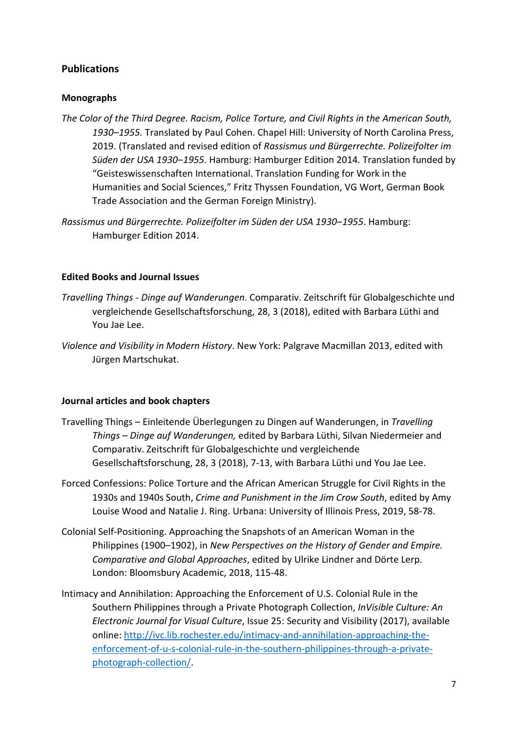# **Publications**

# **Monographs**

- *The Color of the Third Degree. Racism, Police Torture, and Civil Rights in the American South, 1930–1955.* Translated by Paul Cohen. Chapel Hill: University of North Carolina Press, 2019. (Translated and revised edition of *Rassismus und Bürgerrechte. Polizeifolter im Süden der USA 1930‒1955*. Hamburg: Hamburger Edition 2014. Translation funded by "Geisteswissenschaften International. Translation Funding for Work in the Humanities and Social Sciences," Fritz Thyssen Foundation, VG Wort, German Book Trade Association and the German Foreign Ministry).
- *Rassismus und Bürgerrechte. Polizeifolter im Süden der USA 1930‒1955*. Hamburg: Hamburger Edition 2014.

## **Edited Books and Journal Issues**

- *Travelling Things - Dinge auf Wanderungen*. Comparativ. Zeitschrift für Globalgeschichte und vergleichende Gesellschaftsforschung, 28, 3 (2018), edited with Barbara Lüthi and You Jae Lee.
- *Violence and Visibility in Modern History*. New York: Palgrave Macmillan 2013, edited with Jürgen Martschukat.

## **Journal articles and book chapters**

- Travelling Things Einleitende Überlegungen zu Dingen auf Wanderungen, in *Travelling Things – Dinge auf Wanderungen,* edited by Barbara Lüthi, Silvan Niedermeier and Comparativ. Zeitschrift für Globalgeschichte und vergleichende Gesellschaftsforschung, 28, 3 (2018), 7-13, with Barbara Lüthi und You Jae Lee.
- Forced Confessions: Police Torture and the African American Struggle for Civil Rights in the 1930s and 1940s South, *Crime and Punishment in the Jim Crow South*, edited by Amy Louise Wood and Natalie J. Ring. Urbana: University of Illinois Press, 2019, 58-78.
- Colonial Self-Positioning. Approaching the Snapshots of an American Woman in the Philippines (1900–1902), in *New Perspectives on the History of Gender and Empire. Comparative and Global Approaches*, edited by Ulrike Lindner and Dörte Lerp. London: Bloomsbury Academic, 2018, 115-48.
- Intimacy and Annihilation: Approaching the Enforcement of U.S. Colonial Rule in the Southern Philippines through a Private Photograph Collection, *InVisible Culture: An Electronic Journal for Visual Culture*, Issue 25: Security and Visibility (2017), available online: [http://ivc.lib.rochester.edu/intimacy-and-annihilation-approaching-the](http://ivc.lib.rochester.edu/intimacy-and-annihilation-approaching-the-enforcement-of-u-s-colonial-rule-in-the-southern-philippines-through-a-private-photograph-collection/)[enforcement-of-u-s-colonial-rule-in-the-southern-philippines-through-a-private](http://ivc.lib.rochester.edu/intimacy-and-annihilation-approaching-the-enforcement-of-u-s-colonial-rule-in-the-southern-philippines-through-a-private-photograph-collection/)[photograph-collection/.](http://ivc.lib.rochester.edu/intimacy-and-annihilation-approaching-the-enforcement-of-u-s-colonial-rule-in-the-southern-philippines-through-a-private-photograph-collection/)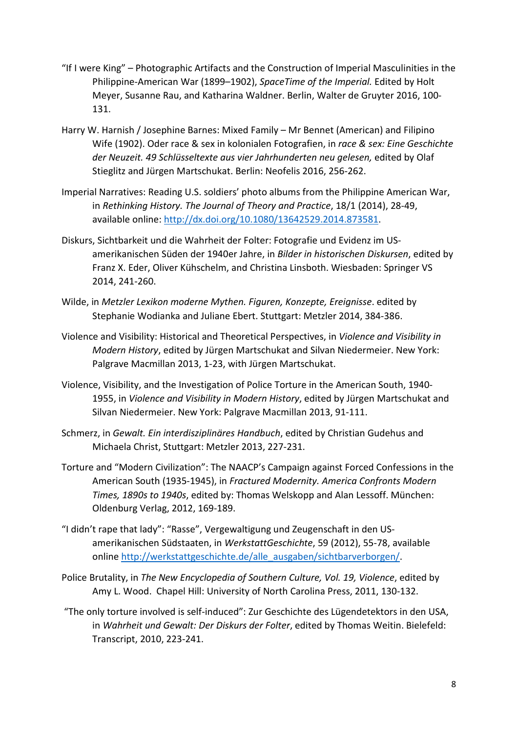- "If I were King" Photographic Artifacts and the Construction of Imperial Masculinities in the Philippine-American War (1899–1902), *SpaceTime of the Imperial.* Edited by Holt Meyer, Susanne Rau, and Katharina Waldner. Berlin, Walter de Gruyter 2016, 100- 131.
- Harry W. Harnish / Josephine Barnes: Mixed Family Mr Bennet (American) and Filipino Wife (1902). Oder race & sex in kolonialen Fotografien, in *race & sex: Eine Geschichte der Neuzeit. 49 Schlüsseltexte aus vier Jahrhunderten neu gelesen,* edited by Olaf Stieglitz and Jürgen Martschukat. Berlin: Neofelis 2016, 256-262.
- Imperial Narratives: Reading U.S. soldiers' photo albums from the Philippine American War, in *Rethinking History. The Journal of Theory and Practice*, 18/1 (2014), 28-49, available online: [http://dx.doi.org/10.1080/13642529.2014.873581.](http://dx.doi.org/10.1080/13642529.2014.873581)
- Diskurs, Sichtbarkeit und die Wahrheit der Folter: Fotografie und Evidenz im USamerikanischen Süden der 1940er Jahre, in *Bilder in historischen Diskursen*, edited by Franz X. Eder, Oliver Kühschelm, and Christina Linsboth. Wiesbaden: Springer VS 2014, 241-260.
- Wilde, in *Metzler Lexikon moderne Mythen. Figuren, Konzepte, Ereignisse*. edited by Stephanie Wodianka and Juliane Ebert. Stuttgart: Metzler 2014, 384-386.
- Violence and Visibility: Historical and Theoretical Perspectives, in *Violence and Visibility in Modern History*, edited by Jürgen Martschukat and Silvan Niedermeier. New York: Palgrave Macmillan 2013, 1-23, with Jürgen Martschukat.
- Violence, Visibility, and the Investigation of Police Torture in the American South, 1940- 1955, in *Violence and Visibility in Modern History*, edited by Jürgen Martschukat and Silvan Niedermeier. New York: Palgrave Macmillan 2013, 91-111.
- Schmerz, in *Gewalt. Ein interdisziplinäres Handbuch*, edited by Christian Gudehus and Michaela Christ, Stuttgart: Metzler 2013, 227-231.
- Torture and "Modern Civilization": The NAACP's Campaign against Forced Confessions in the American South (1935-1945), in *Fractured Modernity. America Confronts Modern Times, 1890s to 1940s*, edited by: Thomas Welskopp and Alan Lessoff. München: Oldenburg Verlag, 2012, 169-189.
- "I didn't rape that lady": "Rasse", Vergewaltigung und Zeugenschaft in den USamerikanischen Südstaaten, in *WerkstattGeschichte*, 59 (2012), 55-78, available online [http://werkstattgeschichte.de/alle\\_ausgaben/sichtbarverborgen/.](http://werkstattgeschichte.de/alle_ausgaben/sichtbarverborgen/)
- Police Brutality, in *The New Encyclopedia of Southern Culture, Vol. 19, Violence*, edited by Amy L. Wood. Chapel Hill: University of North Carolina Press, 2011, 130-132.
- "The only torture involved is self-induced": Zur Geschichte des Lügendetektors in den USA, in *Wahrheit und Gewalt: Der Diskurs der Folter*, edited by Thomas Weitin. Bielefeld: Transcript, 2010, 223-241.